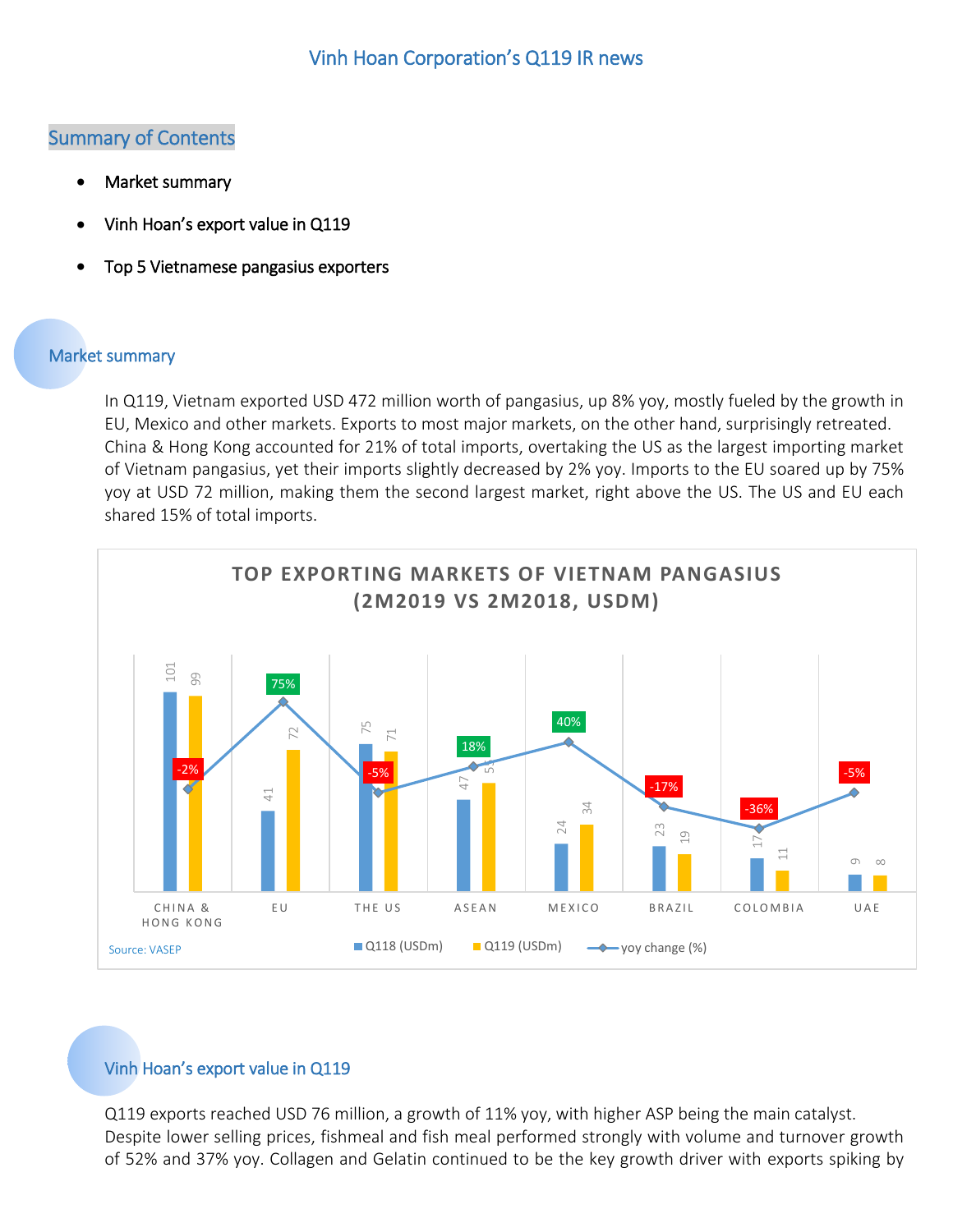## Summary of Contents

- [Market summary](#page-0-0)
- Vinh Hoan's [export value in Q119](#page-0-1)
- [Top 5 Vietnamese pangasius exporters](#page-1-0)

## <span id="page-0-0"></span>Market summary

In Q119, Vietnam exported USD 472 million worth of pangasius, up 8% yoy, mostly fueled by the growth in EU, Mexico and other markets. Exports to most major markets, on the other hand, surprisingly retreated. China & Hong Kong accounted for 21% of total imports, overtaking the US as the largest importing market of Vietnam pangasius, yet their imports slightly decreased by 2% yoy. Imports to the EU soared up by 75% yoy at USD 72 million, making them the second largest market, right above the US. The US and EU each shared 15% of total imports.



## <span id="page-0-1"></span>Vinh Hoan's export value in Q119

Q119 exports reached USD 76 million, a growth of 11% yoy, with higher ASP being the main catalyst. Despite lower selling prices, fishmeal and fish meal performed strongly with volume and turnover growth of 52% and 37% yoy. Collagen and Gelatin continued to be the key growth driver with exports spiking by